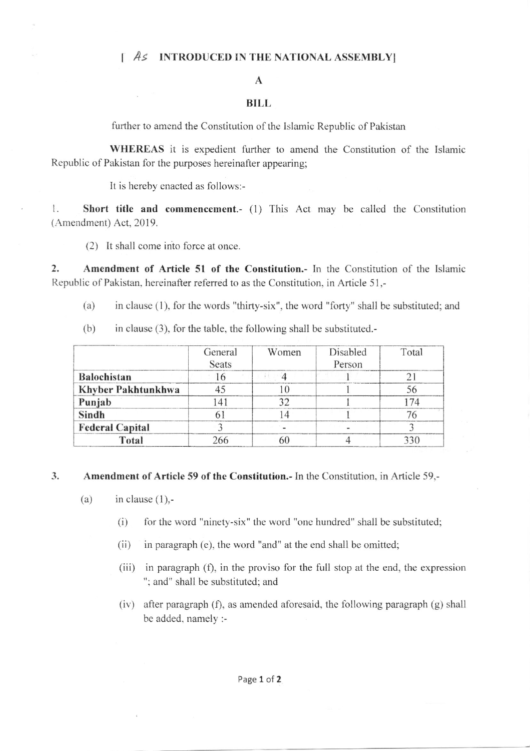# [  $As$  INTRODUCED IN THE NATIONAL ASSEMBLY]

# A

### BILL

further to amend the Constitution of the Islamic Republic of Pakistan

WHEREAS it is expedient further to amend the Constitution of the Islamic Republic of Pakistan for the purposes hereinafter appearing;

It is hereby enacted as follows:-

1. Short title and commencement.- (1) This Act may be called the Constitution (Amendment) Act, 2019.

(2) It shall come into force at once.

2. Amendment of Article 5l of the Constitution.- In the Constitution of the Islamic Republic of Pakistan, hereinafter referred to as the Constitution, in Article 51,-

- (a) in clause (l), for the words "thirty-six", the word "forty" shall be substituted; and
- $(b)$  in clause (3), for the table, the following shall be substituted.

|                        | General<br><b>Seats</b> | Women | Disabled<br>Person | Total |
|------------------------|-------------------------|-------|--------------------|-------|
| <b>Balochistan</b>     |                         |       |                    |       |
| Khyber Pakhtunkhwa     |                         |       |                    | 56    |
| Punjab                 |                         |       |                    |       |
| Sindh                  |                         |       |                    |       |
| <b>Federal Capital</b> |                         |       |                    |       |
| Total                  |                         |       |                    |       |

#### Amendment of Article 59 of the Constitution.- In the Constitution. in Article 59.- .3

- (a) in clause  $(1)$ ,-
	- (i) for the word "ninety-six" the word "one hundred" shall be substituted;
	- (ii) in paragraph (e), the word "and" at the end shall be omitted;
	- (iii) in paragraph  $(f)$ , in the proviso for the full stop at the end, the expression "; and" shall be substituted; and
	- (iv) after paragraph (f), as amended aforesaid, the following paragraph  $(g)$  shall be added. namely :-